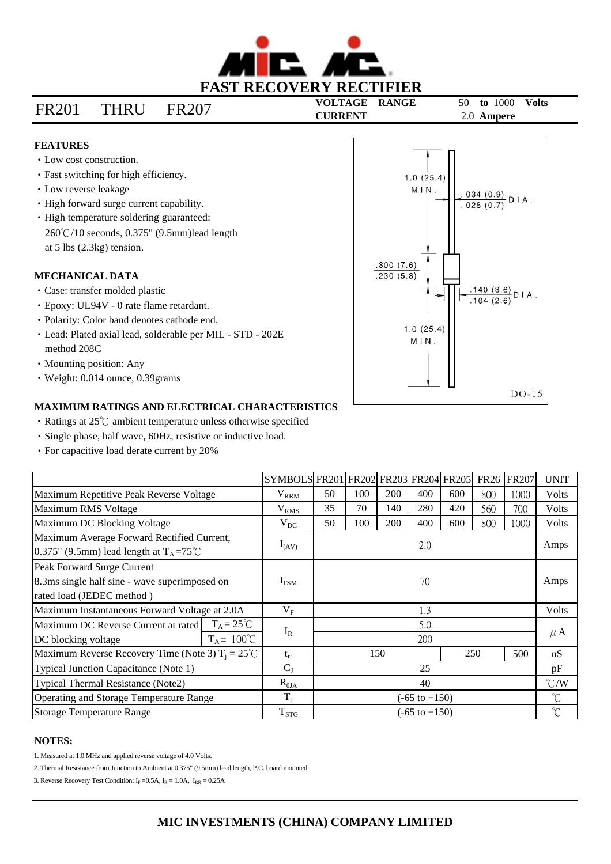

# **CURRENT** 2.0 **Ampere** FR201 THRU FR207

**VOLTAGE RANGE** 50 **to** 1000 **Volts**

## **FEATURES**

- Low cost construction.
- Fast switching for high efficiency.
- Low reverse leakage
- High forward surge current capability.
- $260^{\circ}$ C/10 seconds, 0.375" (9.5mm)lead length at 5 lbs (2.3kg) tension. • High temperature soldering guaranteed:

#### **MECHANICAL DATA**

- Case: transfer molded plastic
- Epoxy: UL94V 0 rate flame retardant.
- Polarity: Color band denotes cathode end.
- Lead: Plated axial lead, solderable per MIL STD 202E method 208C
- Mounting position: Any
- Weight: 0.014 ounce, 0.39grams

### **MAXIMUM RATINGS AND ELECTRICAL CHARACTERISTICS**

- $\cdot$  Ratings at 25 $\degree$ C ambient temperature unless otherwise specified
- Single phase, half wave, 60Hz, resistive or inductive load.
- For capacitive load derate current by 20%

|                                                                                                 |                      | SYMBOLS FR201 FR202 FR203 FR204 FR205 |                          |     |     |     |     | <b>FR26</b> | <b>FR207</b> | <b>UNIT</b>          |
|-------------------------------------------------------------------------------------------------|----------------------|---------------------------------------|--------------------------|-----|-----|-----|-----|-------------|--------------|----------------------|
| Maximum Repetitive Peak Reverse Voltage                                                         |                      | $\rm V_{RRM}$                         | 50                       | 100 | 200 | 400 | 600 | 800         | 1000         | Volts                |
| Maximum RMS Voltage                                                                             |                      | V <sub>RMS</sub>                      | 35                       | 70  | 140 | 280 | 420 | 560         | 700          | Volts                |
| Maximum DC Blocking Voltage                                                                     |                      | $V_{DC}$                              | 50                       | 100 | 200 | 400 | 600 | 800         | 1000         | <b>Volts</b>         |
| Maximum Average Forward Rectified Current,<br>0.375" (9.5mm) lead length at $T_A = 75^{\circ}C$ |                      | $I_{(AV)}$                            | 2.0                      |     |     |     |     |             |              | Amps                 |
| Peak Forward Surge Current                                                                      |                      |                                       |                          |     |     |     |     |             |              |                      |
| 8.3ms single half sine - wave superimposed on                                                   |                      | $I_{FSM}$                             | 70                       |     |     |     |     |             | Amps         |                      |
| rated load (JEDEC method)                                                                       |                      |                                       |                          |     |     |     |     |             |              |                      |
| Maximum Instantaneous Forward Voltage at 2.0A                                                   |                      | $V_{F}$                               | 1.3                      |     |     |     |     |             | <b>Volts</b> |                      |
| Maximum DC Reverse Current at rated                                                             | $T_A = 25^{\circ}C$  | $I_R$                                 | 5.0                      |     |     |     |     |             |              | $\mu$ A              |
| DC blocking voltage                                                                             | $T_A = 100^{\circ}C$ | 200                                   |                          |     |     |     |     |             |              |                      |
| Maximum Reverse Recovery Time (Note 3) $T_i = 25^{\circ}C$                                      |                      | $t_{rr}$                              | 150                      |     |     | 250 | 500 | nS          |              |                      |
| Typical Junction Capacitance (Note 1)                                                           |                      | $C_{J}$                               | 25                       |     |     |     |     |             | pF           |                      |
| Typical Thermal Resistance (Note2)                                                              |                      | $R_{\theta JA}$                       | 40                       |     |     |     |     |             |              | $\mathrm{C}/W$       |
| Operating and Storage Temperature Range                                                         |                      | $T_{J}$                               | $(-65 \text{ to } +150)$ |     |     |     |     |             |              | $\mathrm{C}$         |
| <b>Storage Temperature Range</b>                                                                |                      | $T_{STG}$                             | $(-65 \text{ to } +150)$ |     |     |     |     |             |              | $\mathrm{C}^{\circ}$ |

#### **NOTES:**

1. Measured at 1.0 MHz and applied reverse voltage of 4.0 Volts.

2. Thermal Resistance from Junction to Ambient at 0.375" (9.5mm) lead length, P.C. board mounted.

3. Reverse Recovery Test Condition:  $I_F = 0.5A$ ,  $I_R = 1.0A$ ,  $I_{RR} = 0.25A$